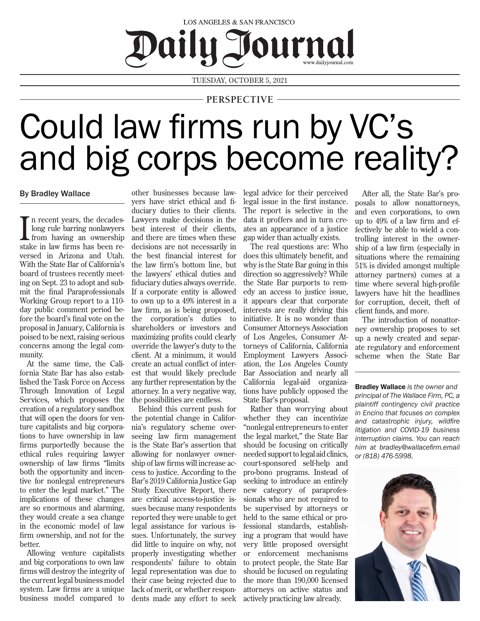## LOS ANGELES & SAN FRANCISCO Daily Journal

TUESDAY, OCTOBER 5, 2021

## **PERSPECTIVE**

## Could law firms run by VC's and big corps become reality?

## By Bradley Wallace

In recent years, the decades-<br>long rule barring nonlawyers<br>from having an ownership<br>stake in law firms has been ren recent years, the decadeslong rule barring nonlawyers from having an ownership versed in Arizona and Utah. With the State Bar of California's board of trustees recently meeting on Sept. 23 to adopt and submit the final Paraprofessionals Working Group report to a 110 day public comment period before the board's final vote on the proposal in January, California is poised to be next, raising serious concerns among the legal community.

At the same time, the California State Bar has also established the Task Force on Access Through Innovation of Legal Services, which proposes the creation of a regulatory sandbox that will open the doors for venture capitalists and big corporations to have ownership in law firms purportedly because the ethical rules requiring lawyer ownership of law firms "limits both the opportunity and incentive for nonlegal entrepreneurs to enter the legal market." The implications of these changes are so enormous and alarming, they would create a sea change in the economic model of law firm ownership, and not for the better.

Allowing venture capitalists and big corporations to own law firms will destroy the integrity of the current legal business model system. Law firms are a unique business model compared to

other businesses because lawyers have strict ethical and fiduciary duties to their clients. Lawyers make decisions in the best interest of their clients, and there are times when these decisions are not necessarily in the best financial interest for the law firm's bottom line, but the lawyers' ethical duties and fiduciary duties always override. If a corporate entity is allowed to own up to a 49% interest in a law firm, as is being proposed, the corporation's duties to shareholders or investors and maximizing profits could clearly override the lawyer's duty to the client. At a minimum, it would create an actual conflict of interest that would likely preclude any further representation by the attorney. In a very negative way, the possibilities are endless.

Behind this current push for the potential change in California's regulatory scheme overseeing law firm management is the State Bar's assertion that allowing for nonlawyer ownership of law firms will increase access to justice. According to the Bar's 2019 California Justice Gap Study Executive Report, there are critical access-to-justice issues because many respondents reported they were unable to get legal assistance for various issues. Unfortunately, the survey did little to inquire on why, not properly investigating whether respondents' failure to obtain legal representation was due to their case being rejected due to lack of merit, or whether respondents made any effort to seek legal advice for their perceived legal issue in the first instance. The report is selective in the data it proffers and in turn creates an appearance of a justice gap wider than actually exists.

The real questions are: Who does this ultimately benefit, and why is the State Bar going in this direction so aggressively? While the State Bar purports to remedy an access to justice issue, it appears clear that corporate interests are really driving this initiative. It is no wonder than Consumer Attorneys Association of Los Angeles, Consumer Attorneys of California, California Employment Lawyers Association, the Los Angeles County Bar Association and nearly all California legal-aid organizations have publicly opposed the State Bar's proposal.

Rather than worrying about whether they can incentivize "nonlegal entrepreneurs to enter the legal market," the State Bar should be focusing on critically needed support to legal aid clinics, court-sponsored self-help and pro-bono programs. Instead of seeking to introduce an entirely new category of paraprofessionals who are not required to be supervised by attorneys or held to the same ethical or professional standards, establishing a program that would have very little proposed oversight or enforcement mechanisms to protect people, the State Bar should be focused on regulating the more than 190,000 licensed attorneys on active status and actively practicing law already.

After all, the State Bar's proposals to allow nonattorneys, and even corporations, to own up to 49% of a law firm and effectively be able to wield a controlling interest in the ownership of a law firm (especially in situations where the remaining 51% is divided amongst multiple attorney partners) comes at a time where several high-profile lawyers have hit the headlines for corruption, deceit, theft of client funds, and more.

The introduction of nonattorney ownership proposes to set up a newly created and separate regulatory and enforcement scheme when the State Bar

Bradley Wallace *is the owner and principal of The Wallace Firm, PC, a plaintiff contingency civil practice in Encino that focuses on complex and catastrophic injury, wildfire litigation and COVID-19 business interruption claims. You can reach him at bradley@wallacefirm.email or (818) 476-5998.*